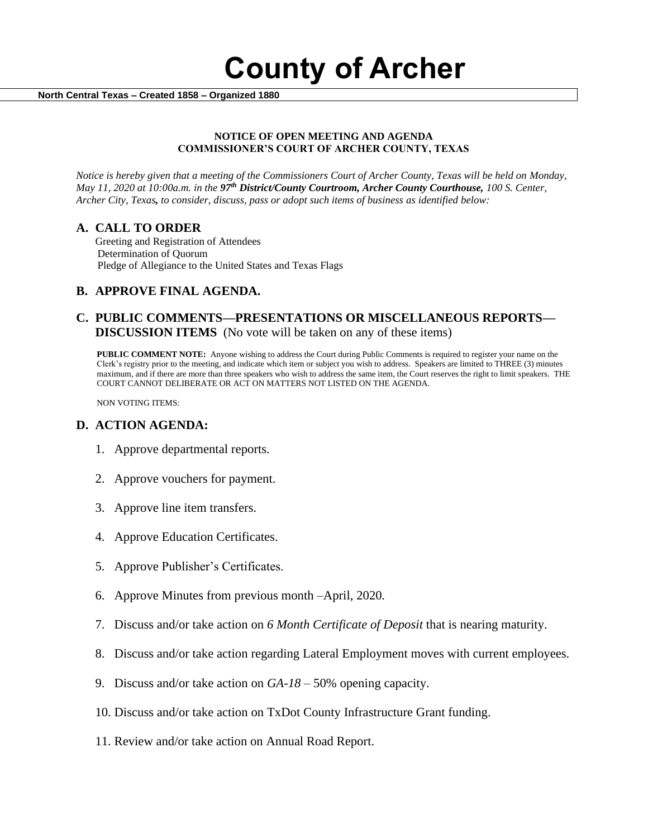**County of Archer** 

 **North Central Texas – Created 1858 – Organized 1880**

#### **NOTICE OF OPEN MEETING AND AGENDA COMMISSIONER'S COURT OF ARCHER COUNTY, TEXAS**

*Notice is hereby given that a meeting of the Commissioners Court of Archer County, Texas will be held on Monday, May 11, 2020 at 10:00a.m. in the 97th District/County Courtroom, Archer County Courthouse, 100 S. Center, Archer City, Texas, to consider, discuss, pass or adopt such items of business as identified below:*

#### **A. CALL TO ORDER**

 Greeting and Registration of Attendees Determination of Quorum Pledge of Allegiance to the United States and Texas Flags

## **B. APPROVE FINAL AGENDA.**

### **C. PUBLIC COMMENTS—PRESENTATIONS OR MISCELLANEOUS REPORTS— DISCUSSION ITEMS** (No vote will be taken on any of these items)

**PUBLIC COMMENT NOTE:** Anyone wishing to address the Court during Public Comments is required to register your name on the Clerk's registry prior to the meeting, and indicate which item or subject you wish to address. Speakers are limited to THREE (3) minutes maximum, and if there are more than three speakers who wish to address the same item, the Court reserves the right to limit speakers. THE COURT CANNOT DELIBERATE OR ACT ON MATTERS NOT LISTED ON THE AGENDA.

NON VOTING ITEMS:

#### **D. ACTION AGENDA:**

- 1. Approve departmental reports.
- 2. Approve vouchers for payment.
- 3. Approve line item transfers.
- 4. Approve Education Certificates.
- 5. Approve Publisher's Certificates.
- 6. Approve Minutes from previous month –April, 2020*.*
- 7. Discuss and/or take action on *6 Month Certificate of Deposit* that is nearing maturity.
- 8. Discuss and/or take action regarding Lateral Employment moves with current employees.
- 9. Discuss and/or take action on *GA-18*  50% opening capacity.
- 10. Discuss and/or take action on TxDot County Infrastructure Grant funding.
- 11. Review and/or take action on Annual Road Report.